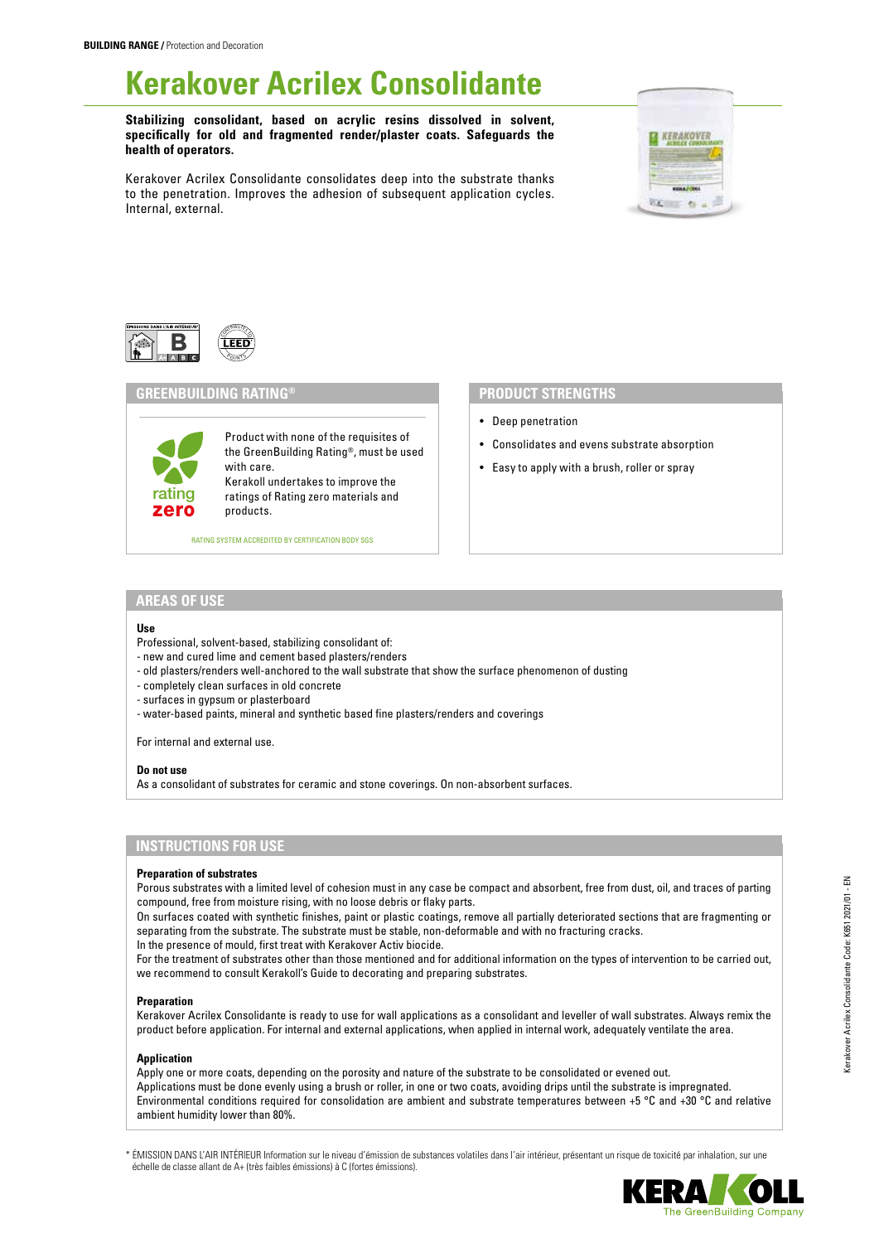# **Kerakover Acrilex Consolidante**

**Stabilizing consolidant, based on acrylic resins dissolved in solvent, specifically for old and fragmented render/plaster coats. Safeguards the health of operators.** 

Kerakover Acrilex Consolidante consolidates deep into the substrate thanks to the penetration. Improves the adhesion of subsequent application cycles. Internal, external.





## **GREENBUILDING RATING®**

Product with none of the requisites of the GreenBuilding Rating®, must be used with care. Kerakoll undertakes to improve the ratings of Rating zero materials and products.

RATING SYSTEM ACCREDITED BY CERTIFICATION BODY SGS

# **PRODUCT STRENGTHS**

- Deep penetration
- Consolidates and evens substrate absorption
- Easy to apply with a brush, roller or spray

## **AREAS OF USE**

zero rating

#### **Use**

- Professional, solvent-based, stabilizing consolidant of:
- new and cured lime and cement based plasters/renders
- old plasters/renders well-anchored to the wall substrate that show the surface phenomenon of dusting
- completely clean surfaces in old concrete
- surfaces in gypsum or plasterboard
- water-based paints, mineral and synthetic based fine plasters/renders and coverings

For internal and external use.

## **Do not use**

As a consolidant of substrates for ceramic and stone coverings. On non-absorbent surfaces.

# **INSTRUCTIONS FOR USE**

#### **Preparation of substrates**

Porous substrates with a limited level of cohesion must in any case be compact and absorbent, free from dust, oil, and traces of parting compound, free from moisture rising, with no loose debris or flaky parts.

On surfaces coated with synthetic finishes, paint or plastic coatings, remove all partially deteriorated sections that are fragmenting or separating from the substrate. The substrate must be stable, non-deformable and with no fracturing cracks.

In the presence of mould, first treat with Kerakover Activ biocide.

For the treatment of substrates other than those mentioned and for additional information on the types of intervention to be carried out, we recommend to consult Kerakoll's Guide to decorating and preparing substrates.

## **Preparation**

Kerakover Acrilex Consolidante is ready to use for wall applications as a consolidant and leveller of wall substrates. Always remix the product before application. For internal and external applications, when applied in internal work, adequately ventilate the area.

#### **Application**

Apply one or more coats, depending on the porosity and nature of the substrate to be consolidated or evened out. Applications must be done evenly using a brush or roller, in one or two coats, avoiding drips until the substrate is impregnated. Environmental conditions required for consolidation are ambient and substrate temperatures between +5 °C and +30 °C and relative ambient humidity lower than 80%.

\* ÉMISSION DANS L'AIR INTÉRIEUR Information sur le niveau d'émission de substances volatiles dans l'air intérieur, présentant un risque de toxicité par inhalation, sur une échelle de classe allant de A+ (très faibles émissions) à C (fortes émissions).